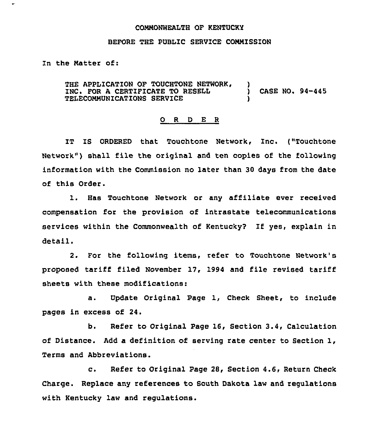## COMMONWEALTH OF KENTUCKY

## BEFORE THE PUBLIC SERVICE COMMISSION

In the Natter of:

THE APPLICATION OF TOUCHTONE NETWORK,<br>INC. FOR A CERTIFICATE TO RESELL TELECOMMUNICATIONS SERVICE ) CASE NO. 94-445 )

## 0 <sup>R</sup> <sup>D</sup> E <sup>R</sup>

IT IS ORDERED that Touchtone Network, Inc. ("Touchtone Network") shall file the original and ten copies of the following information with the Commission no later than 30 days from the date of this Order.

1. Has Touchtone Network or any affiliate ever received compensation for the provision of intrastate telecommunications services within the Commonwealth of Kentucky? If yes, explain in detail.

2. For the following items, refer to Touchtone Network's proposed tariff filed November 17, 1994 and file revised tariff sheets with these modifications:

a. Update Original Page 1, Check Sheet, to include pages in excess of 24.

b. Refer to Original Page 16, Section 3.4, Calculation of Distance. Add a definition of serving rate center to Section 1, Terms and Abbreviations.

c. Refer to Original Page 28, Section 4.6, Return Check Charge. Replace any references to South Dakota law and regulations with Kentucky law and regulations.